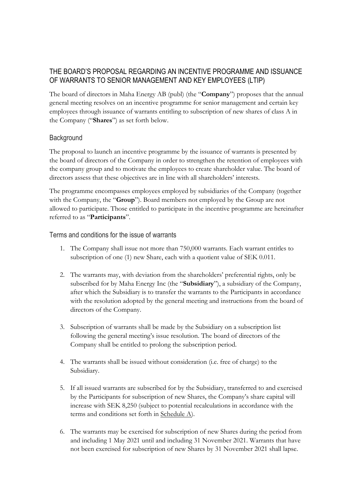# THE BOARD'S PROPOSAL REGARDING AN INCENTIVE PROGRAMME AND ISSUANCE OF WARRANTS TO SENIOR MANAGEMENT AND KEY EMPLOYEES (LTIP)

The board of directors in Maha Energy AB (publ) (the "**Company**") proposes that the annual general meeting resolves on an incentive programme for senior management and certain key employees through issuance of warrants entitling to subscription of new shares of class A in the Company ("**Shares**") as set forth below.

## **Background**

The proposal to launch an incentive programme by the issuance of warrants is presented by the board of directors of the Company in order to strengthen the retention of employees with the company group and to motivate the employees to create shareholder value. The board of directors assess that these objectives are in line with all shareholders' interests.

The programme encompasses employees employed by subsidiaries of the Company (together with the Company, the "**Group**"). Board members not employed by the Group are not allowed to participate. Those entitled to participate in the incentive programme are hereinafter referred to as "**Participants**".

Terms and conditions for the issue of warrants

- 1. The Company shall issue not more than 750,000 warrants. Each warrant entitles to subscription of one (1) new Share, each with a quotient value of SEK 0.011.
- 2. The warrants may, with deviation from the shareholders' preferential rights, only be subscribed for by Maha Energy Inc (the "**Subsidiary**"), a subsidiary of the Company, after which the Subsidiary is to transfer the warrants to the Participants in accordance with the resolution adopted by the general meeting and instructions from the board of directors of the Company.
- 3. Subscription of warrants shall be made by the Subsidiary on a subscription list following the general meeting's issue resolution. The board of directors of the Company shall be entitled to prolong the subscription period.
- 4. The warrants shall be issued without consideration (i.e. free of charge) to the Subsidiary.
- 5. If all issued warrants are subscribed for by the Subsidiary, transferred to and exercised by the Participants for subscription of new Shares, the Company's share capital will increase with SEK 8,250 (subject to potential recalculations in accordance with the terms and conditions set forth in Schedule A).
- 6. The warrants may be exercised for subscription of new Shares during the period from and including 1 May 2021 until and including 31 November 2021. Warrants that have not been exercised for subscription of new Shares by 31 November 2021 shall lapse.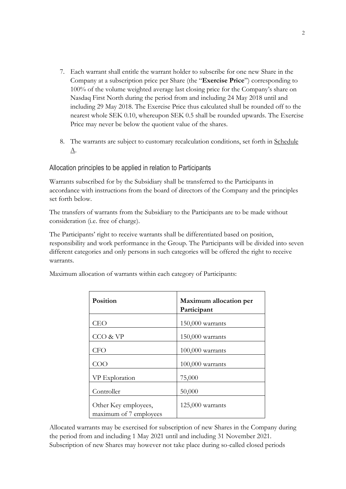- 7. Each warrant shall entitle the warrant holder to subscribe for one new Share in the Company at a subscription price per Share (the "**Exercise Price**") corresponding to 100% of the volume weighted average last closing price for the Company's share on Nasdaq First North during the period from and including 24 May 2018 until and including 29 May 2018. The Exercise Price thus calculated shall be rounded off to the nearest whole SEK 0.10, whereupon SEK 0.5 shall be rounded upwards. The Exercise Price may never be below the quotient value of the shares.
- 8. The warrants are subject to customary recalculation conditions, set forth in Schedule A.

#### Allocation principles to be applied in relation to Participants

Warrants subscribed for by the Subsidiary shall be transferred to the Participants in accordance with instructions from the board of directors of the Company and the principles set forth below.

The transfers of warrants from the Subsidiary to the Participants are to be made without consideration (i.e. free of charge).

The Participants' right to receive warrants shall be differentiated based on position, responsibility and work performance in the Group. The Participants will be divided into seven different categories and only persons in such categories will be offered the right to receive warrants.

| Position                                       | Maximum allocation per<br>Participant |
|------------------------------------------------|---------------------------------------|
| CEO                                            | $150,000$ warrants                    |
| CCO & VP                                       | $150,000$ warrants                    |
| <b>CFO</b>                                     | $100,000$ warrants                    |
| COO                                            | $100,000$ warrants                    |
| VP Exploration                                 | 75,000                                |
| Controller                                     | 50,000                                |
| Other Key employees,<br>maximum of 7 employees | 125,000 warrants                      |

Maximum allocation of warrants within each category of Participants:

Allocated warrants may be exercised for subscription of new Shares in the Company during the period from and including 1 May 2021 until and including 31 November 2021. Subscription of new Shares may however not take place during so-called closed periods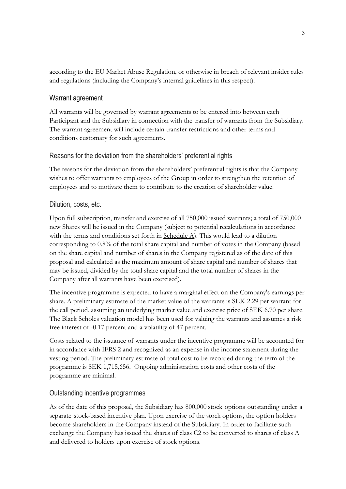according to the EU Market Abuse Regulation, or otherwise in breach of relevant insider rules and regulations (including the Company's internal guidelines in this respect).

### Warrant agreement

All warrants will be governed by warrant agreements to be entered into between each Participant and the Subsidiary in connection with the transfer of warrants from the Subsidiary. The warrant agreement will include certain transfer restrictions and other terms and conditions customary for such agreements.

### Reasons for the deviation from the shareholders' preferential rights

The reasons for the deviation from the shareholders' preferential rights is that the Company wishes to offer warrants to employees of the Group in order to strengthen the retention of employees and to motivate them to contribute to the creation of shareholder value.

#### Dilution, costs, etc.

Upon full subscription, transfer and exercise of all 750,000 issued warrants; a total of 750,000 new Shares will be issued in the Company (subject to potential recalculations in accordance with the terms and conditions set forth in Schedule A). This would lead to a dilution corresponding to 0.8% of the total share capital and number of votes in the Company (based on the share capital and number of shares in the Company registered as of the date of this proposal and calculated as the maximum amount of share capital and number of shares that may be issued, divided by the total share capital and the total number of shares in the Company after all warrants have been exercised).

The incentive programme is expected to have a marginal effect on the Company's earnings per share. A preliminary estimate of the market value of the warrants is SEK 2.29 per warrant for the call period, assuming an underlying market value and exercise price of SEK 6.70 per share. The Black Scholes valuation model has been used for valuing the warrants and assumes a risk free interest of -0.17 percent and a volatility of 47 percent.

Costs related to the issuance of warrants under the incentive programme will be accounted for in accordance with IFRS 2 and recognized as an expense in the income statement during the vesting period. The preliminary estimate of total cost to be recorded during the term of the programme is SEK 1,715,656. Ongoing administration costs and other costs of the programme are minimal.

#### Outstanding incentive programmes

As of the date of this proposal, the Subsidiary has 800,000 stock options outstanding under a separate stock-based incentive plan. Upon exercise of the stock options, the option holders become shareholders in the Company instead of the Subsidiary. In order to facilitate such exchange the Company has issued the shares of class C2 to be converted to shares of class A and delivered to holders upon exercise of stock options.